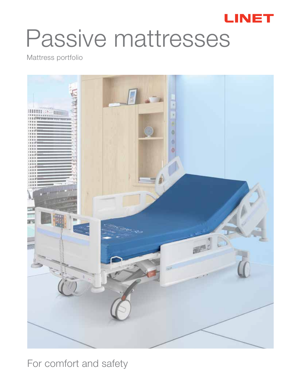

# Passive mattresses

Mattress portfolio



For comfort and safety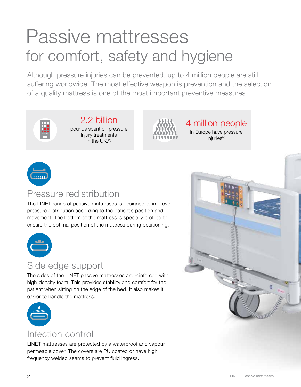# Passive mattresses for comfort, safety and hygiene

Although pressure injuries can be prevented, up to 4 million people are still suffering worldwide. The most effective weapon is prevention and the selection of a quality mattress is one of the most important preventive measures.



#### 2.2 billion pounds spent on pressure injury treatments in the  $IJK$   $(1)$



4 million people in Europe have pressure injuries<sup>(2)</sup>



#### Pressure redistribution

The LINET range of passive mattresses is designed to improve pressure distribution according to the patient's position and movement. The bottom of the mattress is specially profiled to ensure the optimal position of the mattress during positioning.



#### Side edge support

The sides of the LINET passive mattresses are reinforced with high-density foam. This provides stability and comfort for the patient when sitting on the edge of the bed. It also makes it easier to handle the mattress.



#### Infection control

LINET mattresses are protected by a waterproof and vapour permeable cover. The covers are PU coated or have high frequency welded seams to prevent fluid ingress.

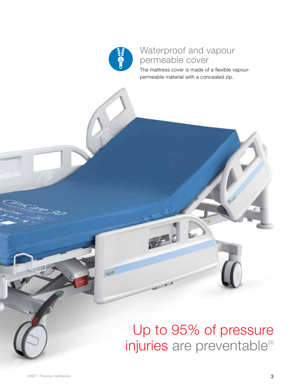

#### Waterproof and vapour permeable cover

The mattress cover is made of a flexible vapourpermeable material with a concealed zip.

# Up to 95% of pressure injuries are preventable<sup>(3)</sup>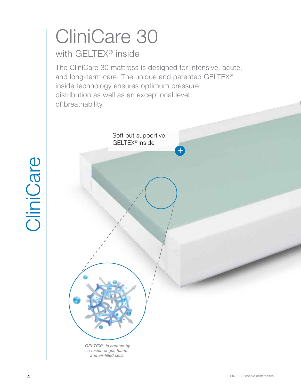# CliniCare 30

### with GELTEX® inside

The CliniCare 30 mattress is designed for intensive, acute, and long-term care. The unique and patented GELTEX® inside technology ensures optimum pressure distribution as well as an exceptional level of breathability.

Soft but supportive

# CliniCare CliniCare

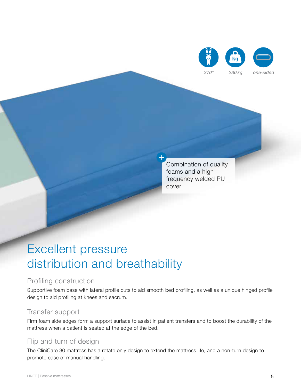

Combination of quality foams and a high frequency welded PU cover

### Excellent pressure distribution and breathability

#### Profiling construction

Supportive foam base with lateral profile cuts to aid smooth bed profiling, as well as a unique hinged profile design to aid profiling at knees and sacrum.

 $\mathbf{t}$ 

#### Transfer support

Firm foam side edges form a support surface to assist in patient transfers and to boost the durability of the mattress when a patient is seated at the edge of the bed.

#### Flip and turn of design

The CliniCare 30 mattress has a rotate only design to extend the mattress life, and a non-turn design to promote ease of manual handling.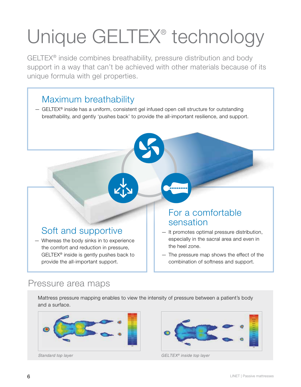# Unique GELTEX® technology

GELTEX® inside combines breathability, pressure distribution and body support in a way that can't be achieved with other materials because of its unique formula with gel properties.

#### Maximum breathability

— GELTEX® inside has a uniform, consistent gel infused open cell structure for outstanding breathability, and gently 'pushes back' to provide the all-important resilience, and support.

#### Soft and supportive

— Whereas the body sinks in to experience the comfort and reduction in pressure, GELTEX® inside is gently pushes back to provide the all-important support.

#### For a comfortable sensation

- It promotes optimal pressure distribution, especially in the sacral area and even in the heel zone.
- The pressure map shows the effect of the combination of softness and support.

#### Pressure area maps

Mattress pressure mapping enables to view the intensity of pressure between a patient's body and a surface.





*Standard top layer GELTEX® inside top layer*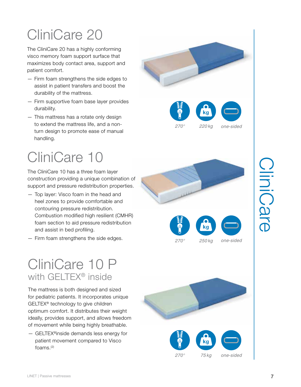# CliniCare 20

The CliniCare 20 has a highly conforming visco memory foam support surface that maximizes body contact area, support and patient comfort.

- Firm foam strengthens the side edges to assist in patient transfers and boost the durability of the mattress.
- Firm supportive foam base layer provides durability.
- This mattress has a rotate only design to extend the mattress life, and a nonturn design to promote ease of manual handling.

# CliniCare 10

The CliniCare 10 has a three foam layer construction providing a unique combination of support and pressure redistribution properties.

- Top layer: Visco foam in the head and heel zones to provide comfortable and contouring pressure redistribution. Combustion modified high resilient (CMHR) foam section to aid pressure redistribution and assist in bed profiling.
- Firm foam strengthens the side edges.

### CliniCare 10 P with GELTEX® inside

The mattress is both designed and sized for pediatric patients. It incorporates unique GELTEX® technology to give children optimum comfort. It distributes their weight ideally, provides support, and allows freedom of movement while being highly breathable.

— GELTEX®inside demands less energy for patient movement compared to Visco foams.(2)









*270° 250 kg one-sided*

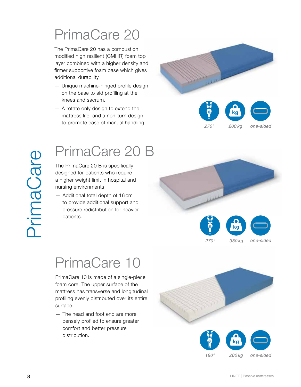The PrimaCare 20 has a combustion modified high resilient (CMHR) foam top layer combined with a higher density and firmer supportive foam base which gives additional durability.

- Unique machine-hinged profile design on the base to aid profiling at the knees and sacrum.
- A rotate only design to extend the mattress life, and a non-turn design to promote ease of manual handling.



# PrimaCare 20 B

The PrimaCare 20 B is specifically designed for patients who require a higher weight limit in hospital and nursing environments.

— Additional total depth of 16 cm to provide additional support and pressure redistribution for heavier patients.



# PrimaCare 10

PrimaCare 10 is made of a single-piece foam core. The upper surface of the mattress has transverse and longitudinal profiling evenly distributed over its entire surface.

— The head and foot end are more densely profiled to ensure greater comfort and better pressure distribution.



*180° 200 kg*

*one-sided*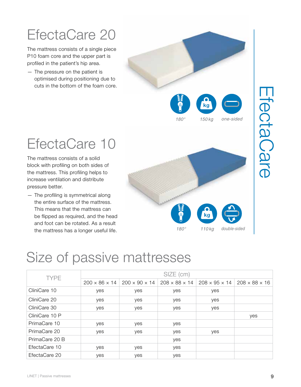# EfectaCare 20

The mattress consists of a single piece P10 foam core and the upper part is profiled in the patient's hip area.

— The pressure on the patient is optimised during positioning due to cuts in the bottom of the foam core.



EfectaCare

EfectaCare

# EfectaCare 10

The mattress consists of a solid block with profiling on both sides of the mattress. This profiling helps to increase ventilation and distribute pressure better.

— The profiling is symmetrical along the entire surface of the mattress. This means that the mattress can be flipped as required, and the head and foot can be rotated. As a result the mattress has a longer useful life.



# Size of passive mattresses

| <b>TYPE</b>    | SIZE (cm)                 |                           |                           |                                                       |     |
|----------------|---------------------------|---------------------------|---------------------------|-------------------------------------------------------|-----|
|                | $200 \times 86 \times 14$ | $200 \times 90 \times 14$ | $208 \times 88 \times 14$ | $208 \times 95 \times 14$ 208 $\times$ 88 $\times$ 16 |     |
| CliniCare 10   | yes                       | yes                       | yes                       | yes                                                   |     |
| CliniCare 20   | yes                       | yes                       | yes                       | yes                                                   |     |
| CliniCare 30   | yes                       | yes                       | yes                       | yes                                                   |     |
| CliniCare 10 P |                           |                           |                           |                                                       | yes |
| PrimaCare 10   | yes                       | yes                       | yes                       |                                                       |     |
| PrimaCare 20   | yes                       | yes                       | yes                       | yes                                                   |     |
| PrimaCare 20 B |                           |                           | yes                       |                                                       |     |
| EfectaCare 10  | yes                       | yes                       | yes                       |                                                       |     |
| EfectaCare 20  | yes                       | yes                       | yes                       |                                                       |     |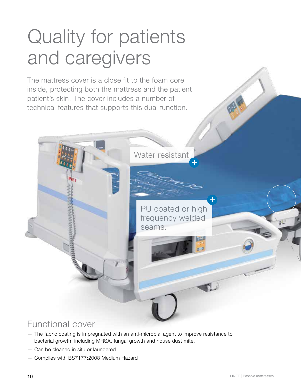# Quality for patients and caregivers

The mattress cover is a close fit to the foam core inside, protecting both the mattress and the patient patient's skin. The cover includes a number of technical features that supports this dual function.



### Functional cover

- The fabric coating is impregnated with an anti-microbial agent to improve resistance to bacterial growth, including MRSA, fungal growth and house dust mite.
- Can be cleaned in situ or laundered
- Complies with BS7177:2008 Medium Hazard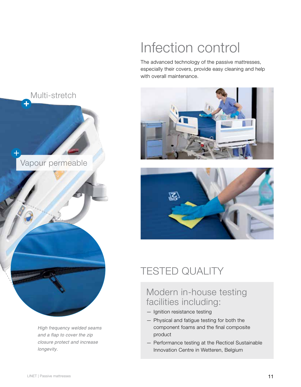# Infection control

The advanced technology of the passive mattresses, especially their covers, provide easy cleaning and help with overall maintenance.



*High frequency welded seams and a flap to cover the zip closure protect and increase longevity.*





### TESTED QUALITY

#### Modern in-house testing facilities including:

- Ignition resistance testing
- Physical and fatigue testing for both the component foams and the final composite product
- Performance testing at the Recticel Sustainable Innovation Centre in Wetteren, Belgium